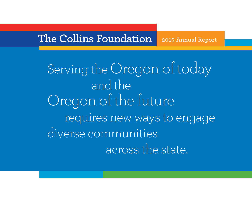# **The Collins Foundation 2015 Annual Report**

Serving the Oregon of today and the Oregon of the future requires new ways to engage diverse communities across the state.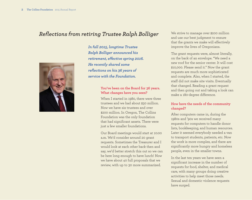# *Reflections from retiring Trustee Ralph Bolliger* We strive to manage over \$200 million



*In fall 2015, longtime Trustee Ralph Bolliger announced his retirement, effective spring 2016. He recently shared some reflections on his 36 years of service with the Foundation.*

#### **You've been on the Board for 36 years. What changes have you seen?**

When I started in 1980, there were three trustees and we had about \$30 million. Now we have six trustees and over \$200 million. In Oregon, The Collins Foundation was the only foundation that had significant assets. There were just a few smaller foundations.

Our Board meetings would start at 10:00 a.m. We'd consider around 20 grant requests. Sometimes the Treasurer and I would look at each other back then and say, we'd better stretch this out so we can be here long enough to have lunch! Now we have about 40 full proposals that we review, with up to 30 more summarized.

and use our best judgment to ensure that the grants we make will effectively improve the lives of Oregonians.

The grant requests were, almost literally, on the back of an envelope. "We need a new roof for the senior center. It will cost \$10,000. Please send it." Now the grant requests are much more sophisticated and complete. Also, when I started, the staff did not make site visits. Eventually that changed. Reading a grant request and then going out and taking a look can make a 180-degree difference.

## **How have the needs of the community changed?**

After computers came in, during the 1980s and '90s we received many requests for computers to handle donor lists, bookkeeping, and human resources. Later it seemed everybody needed a van to transport students, patients, etc. Now the work is more complex, and there are significantly more hungry and homeless people, even in the smaller towns.

In the last ten years we have seen a significant increase in the number of requests for food, shelter, and medical care, with many groups doing creative activities to help meet those needs. Sexual and domestic violence requests have surged.